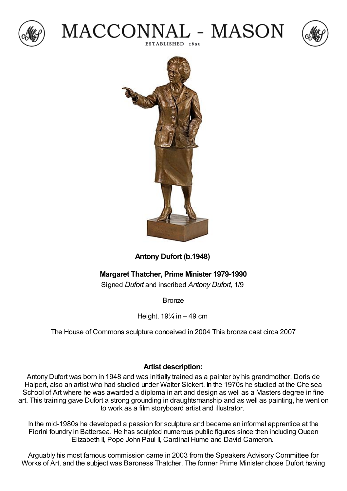







## **Antony Dufort (b.1948)**

## **Margaret Thatcher, Prime Minister 1979-1990**

Signed *Dufort* and inscribed *Antony Dufort,* 1/9

Bronze

Height,  $19\frac{1}{4}$  in  $-49$  cm

The House of Commons sculpture conceived in 2004 This bronze cast circa 2007

## **Artist description:**

Antony Dufort was born in 1948 and was initially trained as a painter by his grandmother, Doris de Halpert, also an artist who had studied under Walter Sickert. In the 1970s he studied at the Chelsea School of Art where he was awarded a diploma in art and design as well as a Masters degree in fine art. This training gave Dufort a strong grounding in draughtsmanship and as well as painting, he went on to work as a film storyboard artist and illustrator.

In the mid-1980s he developed a passion for sculpture and became an informal apprentice at the Fiorini foundry in Battersea. He has sculpted numerous public figures since then including Queen Elizabeth II, Pope John Paul II, Cardinal Hume and David Cameron.

Arguably his most famous commission came in 2003 from the Speakers Advisory Committee for Works of Art, and the subject was Baroness Thatcher. The former Prime Minister chose Dufort having